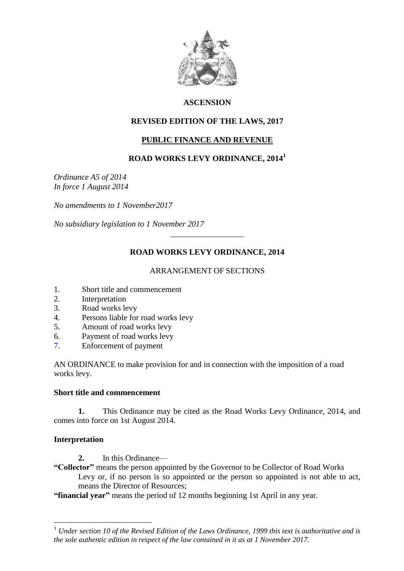

# **ASCENSION**

# **REVISED EDITION OF THE LAWS, 2017**

# **PUBLIC FINANCE AND REVENUE**

## **ROAD WORKS LEVY ORDINANCE, 2014<sup>1</sup>**

*Ordinance A5 of 2014 In force 1 August 2014*

*No amendments to 1 November2017*

*No subsidiary legislation to 1 November 2017*

# **ROAD WORKS LEVY ORDINANCE, 2014**

\_\_\_\_\_\_\_\_\_\_\_\_\_\_\_\_\_\_

#### ARRANGEMENT OF SECTIONS

- 1. Short title and commencement
- 2. Interpretation
- 3. Road works levy
- 4. Persons liable for road works levy<br>5. Amount of road works levy
- 5. Amount of road works levy
- 6. Payment of road works levy
- 7. Enforcement of payment

AN ORDINANCE to make provision for and in connection with the imposition of a road works levy.

#### **Short title and commencement**

**1.** This Ordinance may be cited as the Road Works Levy Ordinance, 2014, and comes into force on 1st August 2014.

## **Interpretation**

<u>.</u>

- **2.** In this Ordinance—
- **"Collector"** means the person appointed by the Governor to be Collector of Road Works Levy or, if no person is so appointed or the person so appointed is not able to act, means the Director of Resources;

**"financial year"** means the period of 12 months beginning 1st April in any year.

<sup>1</sup> *Under section 10 of the Revised Edition of the Laws Ordinance, 1999 this text is authoritative and is the sole authentic edition in respect of the law contained in it as at 1 November 2017.*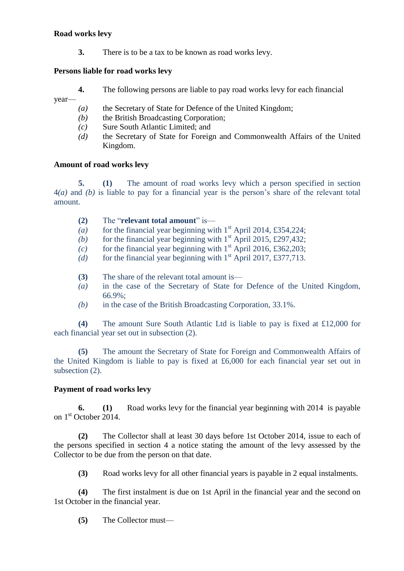#### **Road works levy**

**3.** There is to be a tax to be known as road works levy.

### **Persons liable for road works levy**

year—

- **4.** The following persons are liable to pay road works levy for each financial
- *(a)* the Secretary of State for Defence of the United Kingdom;
- *(b)* the British Broadcasting Corporation;
- *(c)* Sure South Atlantic Limited; and
- *(d)* the Secretary of State for Foreign and Commonwealth Affairs of the United Kingdom.

### **Amount of road works levy**

**5. (1)** The amount of road works levy which a person specified in section 4*(a)* and *(b)* is liable to pay for a financial year is the person's share of the relevant total amount.

- **(2)** The "**relevant total amount**" is—
- (a) for the financial year beginning with  $1<sup>st</sup>$  April 2014, £354,224;
- (b) for the financial year beginning with  $1<sup>st</sup>$  April 2015, £297,432;
- *(c)* for the financial year beginning with  $1<sup>st</sup>$  April 2016, £362,203;
- (d) for the financial year beginning with  $1<sup>st</sup>$  April 2017, £377,713.
- **(3)** The share of the relevant total amount is—
- *(a)* in the case of the Secretary of State for Defence of the United Kingdom, 66.9%;
- *(b)* in the case of the British Broadcasting Corporation, 33.1%.

**(4)** The amount Sure South Atlantic Ltd is liable to pay is fixed at £12,000 for each financial year set out in subsection (2).

**(5)** The amount the Secretary of State for Foreign and Commonwealth Affairs of the United Kingdom is liable to pay is fixed at £6,000 for each financial year set out in subsection  $(2)$ .

## **Payment of road works levy**

**6. (1)** Road works levy for the financial year beginning with 2014 is payable on 1<sup>st</sup> October 2014.

**(2)** The Collector shall at least 30 days before 1st October 2014, issue to each of the persons specified in section 4 a notice stating the amount of the levy assessed by the Collector to be due from the person on that date.

**(3)** Road works levy for all other financial years is payable in 2 equal instalments.

**(4)** The first instalment is due on 1st April in the financial year and the second on 1st October in the financial year.

**(5)** The Collector must—